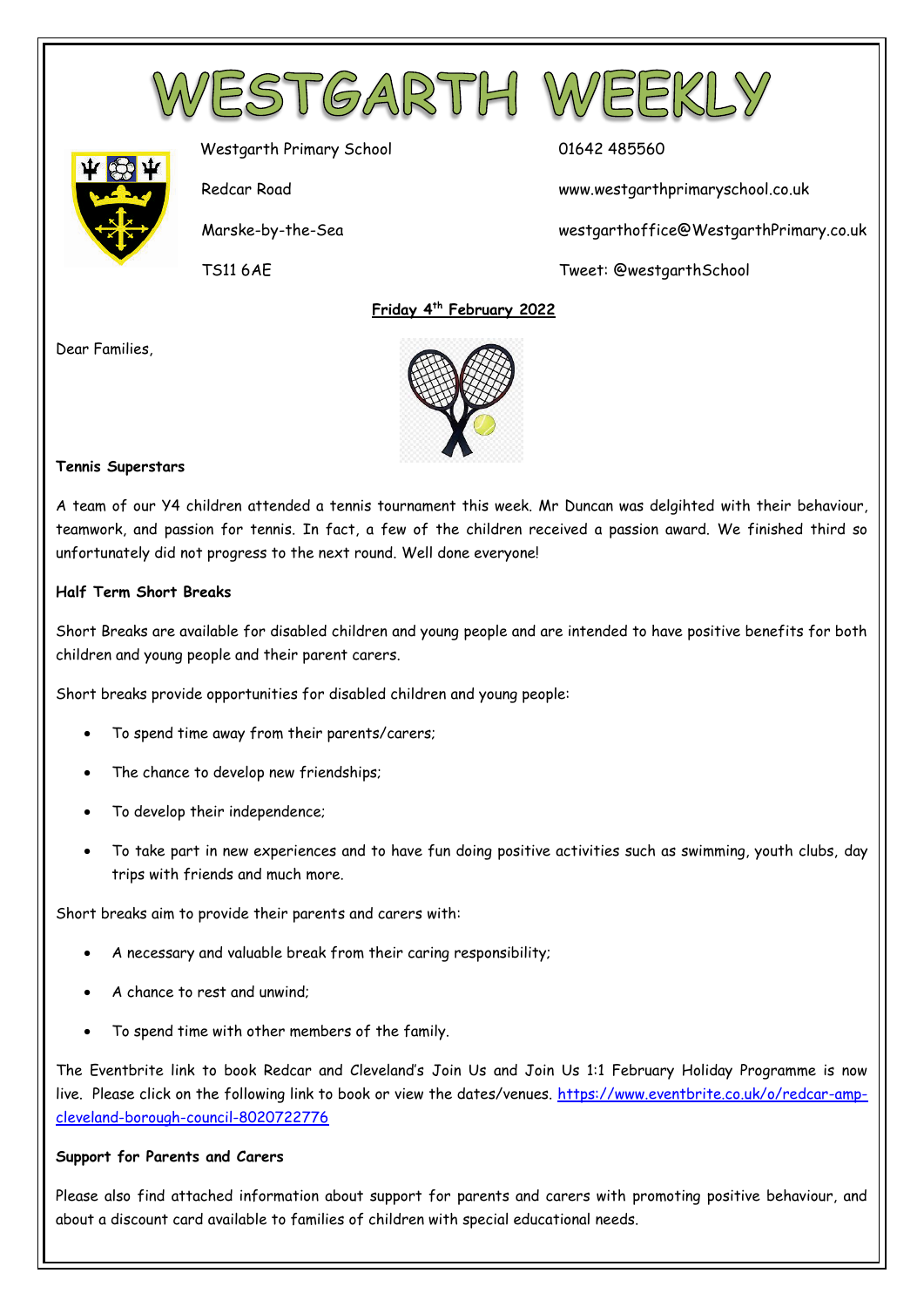



Westgarth Primary School 01642 485560

Redcar Road www.westgarthprimaryschool.co.uk

Marske-by-the-Sea westgarthoffice@WestgarthPrimary.co.uk

TS11 6AE Tweet: @westgarthSchool

 **Friday 4 th February 2022**

Dear Families,



#### **Tennis Superstars**

A team of our Y4 children attended a tennis tournament this week. Mr Duncan was delgihted with their behaviour, teamwork, and passion for tennis. In fact, a few of the children received a passion award. We finished third so unfortunately did not progress to the next round. Well done everyone!

#### **Half Term Short Breaks**

Short Breaks are available for disabled children and young people and are intended to have positive benefits for both children and young people and their parent carers.

Short breaks provide opportunities for disabled children and young people:

- To spend time away from their parents/carers;
- The chance to develop new friendships;
- To develop their independence;
- To take part in new experiences and to have fun doing positive activities such as swimming, youth clubs, day trips with friends and much more.

Short breaks aim to provide their parents and carers with:

- A necessary and valuable break from their caring responsibility;
- A chance to rest and unwind;
- To spend time with other members of the family.

The Eventbrite link to book Redcar and Cleveland's Join Us and Join Us 1:1 February Holiday Programme is now live. Please click on the following link to book or view the dates/venues. [https://www.eventbrite.co.uk/o/redcar-amp](https://www.eventbrite.co.uk/o/redcar-amp-cleveland-borough-council-8020722776)[cleveland-borough-council-8020722776](https://www.eventbrite.co.uk/o/redcar-amp-cleveland-borough-council-8020722776)

#### **Support for Parents and Carers**

Please also find attached information about support for parents and carers with promoting positive behaviour, and about a discount card available to families of children with special educational needs.